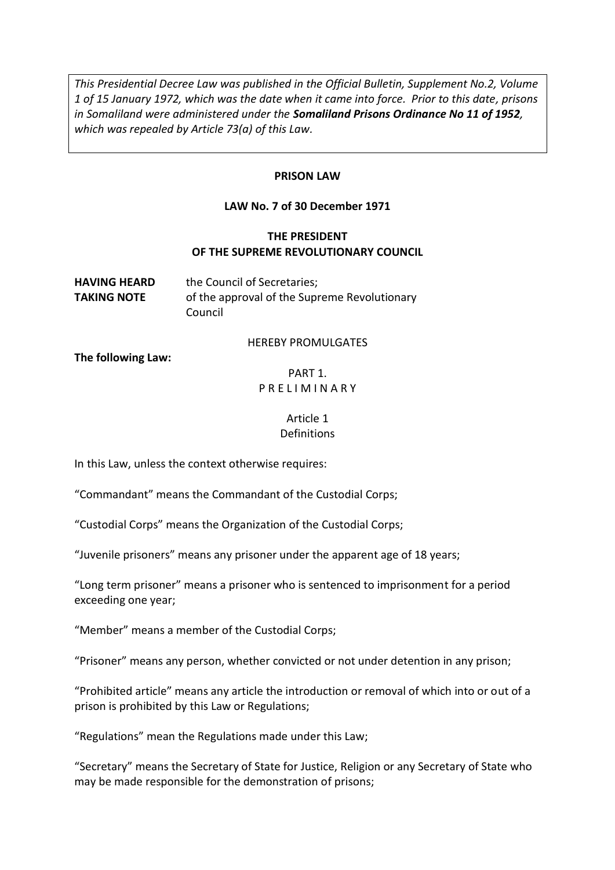*This Presidential Decree Law was published in the Official Bulletin, Supplement No.2, Volume 1 of 15 January 1972, which was the date when it came into force. Prior to this date, prisons in Somaliland were administered under the Somaliland Prisons Ordinance No 11 of 1952, which was repealed by Article 73(a) of this Law.* 

#### **PRISON LAW**

#### **LAW No. 7 of 30 December 1971**

#### **THE PRESIDENT OF THE SUPREME REVOLUTIONARY COUNCIL**

**HAVING HEARD** the Council of Secretaries; **TAKING NOTE** of the approval of the Supreme Revolutionary Council

#### HEREBY PROMULGATES

**The following Law:** 

#### PART 1. P R E L I M I N A R Y

#### Article 1 **Definitions**

In this Law, unless the context otherwise requires:

"Commandant" means the Commandant of the Custodial Corps;

"Custodial Corps" means the Organization of the Custodial Corps;

"Juvenile prisoners" means any prisoner under the apparent age of 18 years;

"Long term prisoner" means a prisoner who is sentenced to imprisonment for a period exceeding one year;

"Member" means a member of the Custodial Corps;

"Prisoner" means any person, whether convicted or not under detention in any prison;

"Prohibited article" means any article the introduction or removal of which into or out of a prison is prohibited by this Law or Regulations;

"Regulations" mean the Regulations made under this Law;

"Secretary" means the Secretary of State for Justice, Religion or any Secretary of State who may be made responsible for the demonstration of prisons;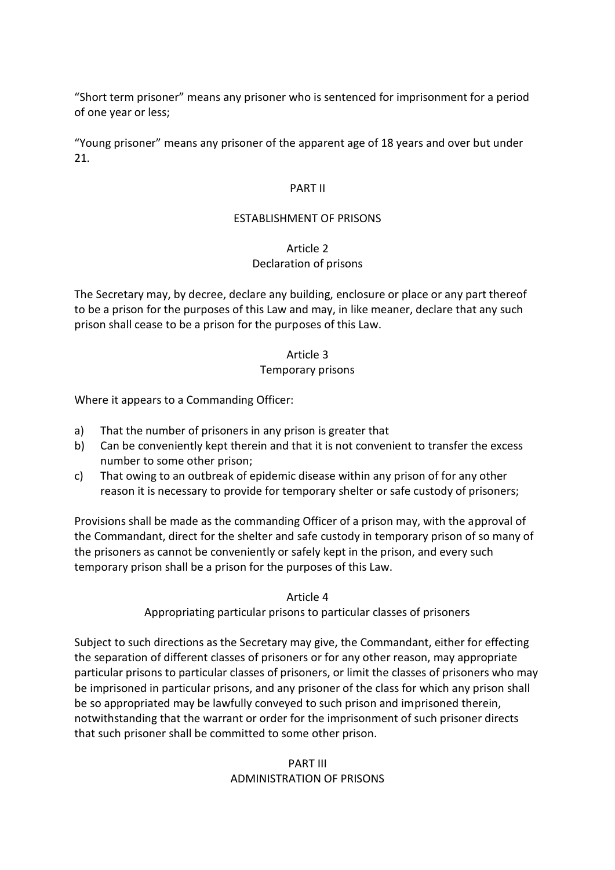"Short term prisoner" means any prisoner who is sentenced for imprisonment for a period of one year or less;

"Young prisoner" means any prisoner of the apparent age of 18 years and over but under 21.

#### PART II

#### ESTABLISHMENT OF PRISONS

#### Article 2

## Declaration of prisons

The Secretary may, by decree, declare any building, enclosure or place or any part thereof to be a prison for the purposes of this Law and may, in like meaner, declare that any such prison shall cease to be a prison for the purposes of this Law.

#### Article 3

#### Temporary prisons

Where it appears to a Commanding Officer:

- a) That the number of prisoners in any prison is greater that
- b) Can be conveniently kept therein and that it is not convenient to transfer the excess number to some other prison;
- c) That owing to an outbreak of epidemic disease within any prison of for any other reason it is necessary to provide for temporary shelter or safe custody of prisoners;

Provisions shall be made as the commanding Officer of a prison may, with the approval of the Commandant, direct for the shelter and safe custody in temporary prison of so many of the prisoners as cannot be conveniently or safely kept in the prison, and every such temporary prison shall be a prison for the purposes of this Law.

Article 4

Appropriating particular prisons to particular classes of prisoners

Subject to such directions as the Secretary may give, the Commandant, either for effecting the separation of different classes of prisoners or for any other reason, may appropriate particular prisons to particular classes of prisoners, or limit the classes of prisoners who may be imprisoned in particular prisons, and any prisoner of the class for which any prison shall be so appropriated may be lawfully conveyed to such prison and imprisoned therein, notwithstanding that the warrant or order for the imprisonment of such prisoner directs that such prisoner shall be committed to some other prison.

#### PART III ADMINISTRATION OF PRISONS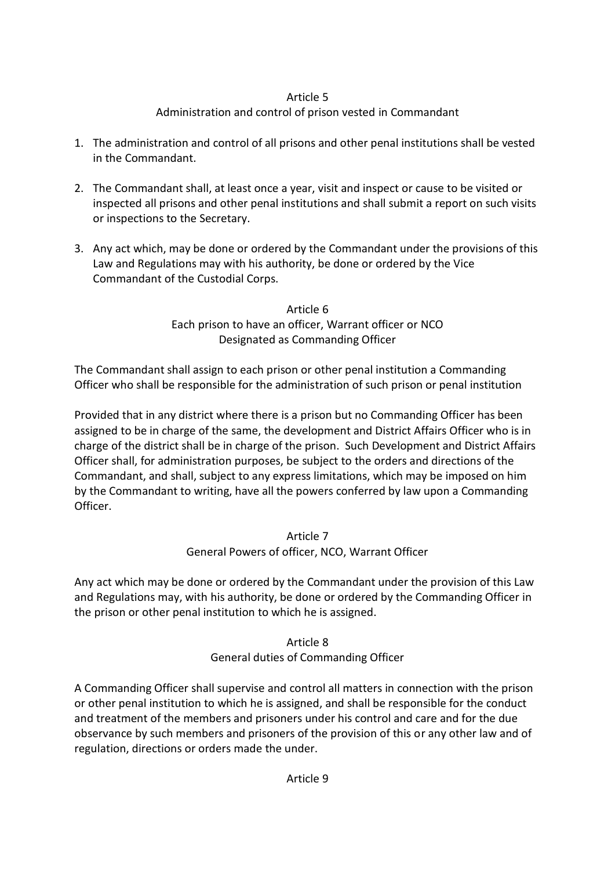# Administration and control of prison vested in Commandant

- 1. The administration and control of all prisons and other penal institutions shall be vested in the Commandant.
- 2. The Commandant shall, at least once a year, visit and inspect or cause to be visited or inspected all prisons and other penal institutions and shall submit a report on such visits or inspections to the Secretary.
- 3. Any act which, may be done or ordered by the Commandant under the provisions of this Law and Regulations may with his authority, be done or ordered by the Vice Commandant of the Custodial Corps.

Article 6 Each prison to have an officer, Warrant officer or NCO Designated as Commanding Officer

The Commandant shall assign to each prison or other penal institution a Commanding Officer who shall be responsible for the administration of such prison or penal institution

Provided that in any district where there is a prison but no Commanding Officer has been assigned to be in charge of the same, the development and District Affairs Officer who is in charge of the district shall be in charge of the prison. Such Development and District Affairs Officer shall, for administration purposes, be subject to the orders and directions of the Commandant, and shall, subject to any express limitations, which may be imposed on him by the Commandant to writing, have all the powers conferred by law upon a Commanding Officer.

> Article 7 General Powers of officer, NCO, Warrant Officer

Any act which may be done or ordered by the Commandant under the provision of this Law and Regulations may, with his authority, be done or ordered by the Commanding Officer in the prison or other penal institution to which he is assigned.

> Article 8 General duties of Commanding Officer

A Commanding Officer shall supervise and control all matters in connection with the prison or other penal institution to which he is assigned, and shall be responsible for the conduct and treatment of the members and prisoners under his control and care and for the due observance by such members and prisoners of the provision of this or any other law and of regulation, directions or orders made the under.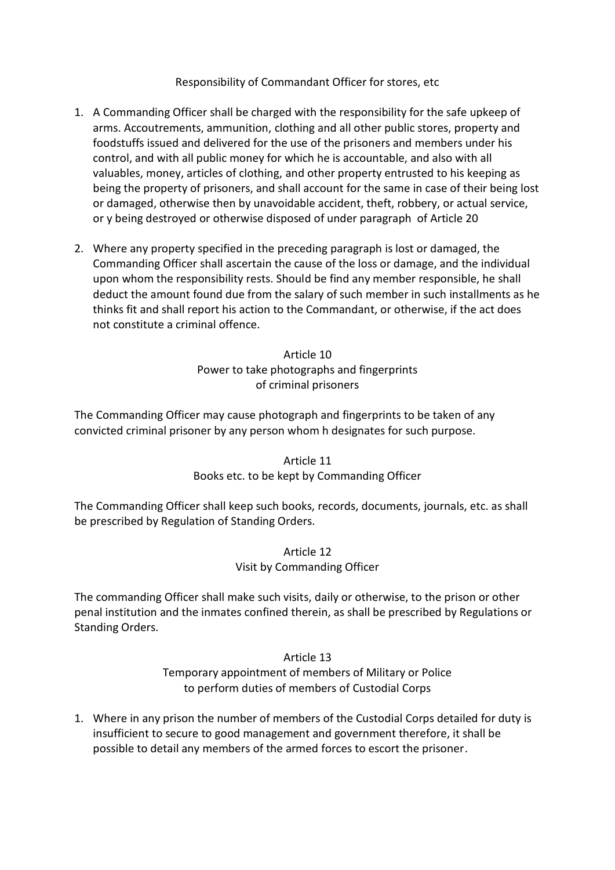#### Responsibility of Commandant Officer for stores, etc

- 1. A Commanding Officer shall be charged with the responsibility for the safe upkeep of arms. Accoutrements, ammunition, clothing and all other public stores, property and foodstuffs issued and delivered for the use of the prisoners and members under his control, and with all public money for which he is accountable, and also with all valuables, money, articles of clothing, and other property entrusted to his keeping as being the property of prisoners, and shall account for the same in case of their being lost or damaged, otherwise then by unavoidable accident, theft, robbery, or actual service, or y being destroyed or otherwise disposed of under paragraph of Article 20
- 2. Where any property specified in the preceding paragraph is lost or damaged, the Commanding Officer shall ascertain the cause of the loss or damage, and the individual upon whom the responsibility rests. Should be find any member responsible, he shall deduct the amount found due from the salary of such member in such installments as he thinks fit and shall report his action to the Commandant, or otherwise, if the act does not constitute a criminal offence.

Article 10 Power to take photographs and fingerprints of criminal prisoners

The Commanding Officer may cause photograph and fingerprints to be taken of any convicted criminal prisoner by any person whom h designates for such purpose.

> Article 11 Books etc. to be kept by Commanding Officer

The Commanding Officer shall keep such books, records, documents, journals, etc. as shall be prescribed by Regulation of Standing Orders.

> Article 12 Visit by Commanding Officer

The commanding Officer shall make such visits, daily or otherwise, to the prison or other penal institution and the inmates confined therein, as shall be prescribed by Regulations or Standing Orders.

> Article 13 Temporary appointment of members of Military or Police to perform duties of members of Custodial Corps

1. Where in any prison the number of members of the Custodial Corps detailed for duty is insufficient to secure to good management and government therefore, it shall be possible to detail any members of the armed forces to escort the prisoner.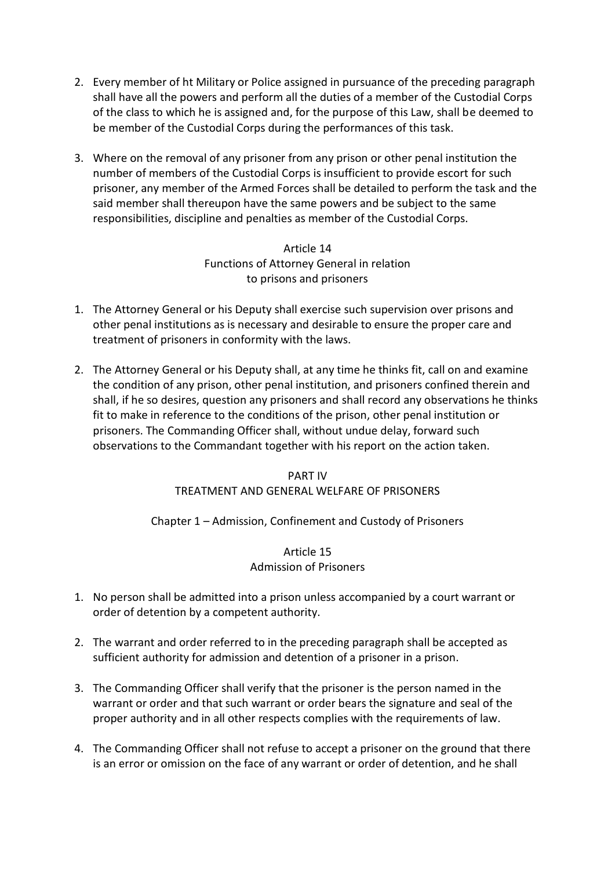- 2. Every member of ht Military or Police assigned in pursuance of the preceding paragraph shall have all the powers and perform all the duties of a member of the Custodial Corps of the class to which he is assigned and, for the purpose of this Law, shall be deemed to be member of the Custodial Corps during the performances of this task.
- 3. Where on the removal of any prisoner from any prison or other penal institution the number of members of the Custodial Corps is insufficient to provide escort for such prisoner, any member of the Armed Forces shall be detailed to perform the task and the said member shall thereupon have the same powers and be subject to the same responsibilities, discipline and penalties as member of the Custodial Corps.

Article 14 Functions of Attorney General in relation to prisons and prisoners

- 1. The Attorney General or his Deputy shall exercise such supervision over prisons and other penal institutions as is necessary and desirable to ensure the proper care and treatment of prisoners in conformity with the laws.
- 2. The Attorney General or his Deputy shall, at any time he thinks fit, call on and examine the condition of any prison, other penal institution, and prisoners confined therein and shall, if he so desires, question any prisoners and shall record any observations he thinks fit to make in reference to the conditions of the prison, other penal institution or prisoners. The Commanding Officer shall, without undue delay, forward such observations to the Commandant together with his report on the action taken.

# PART IV TREATMENT AND GENERAL WELFARE OF PRISONERS

# Chapter 1 – Admission, Confinement and Custody of Prisoners

# Article 15 Admission of Prisoners

- 1. No person shall be admitted into a prison unless accompanied by a court warrant or order of detention by a competent authority.
- 2. The warrant and order referred to in the preceding paragraph shall be accepted as sufficient authority for admission and detention of a prisoner in a prison.
- 3. The Commanding Officer shall verify that the prisoner is the person named in the warrant or order and that such warrant or order bears the signature and seal of the proper authority and in all other respects complies with the requirements of law.
- 4. The Commanding Officer shall not refuse to accept a prisoner on the ground that there is an error or omission on the face of any warrant or order of detention, and he shall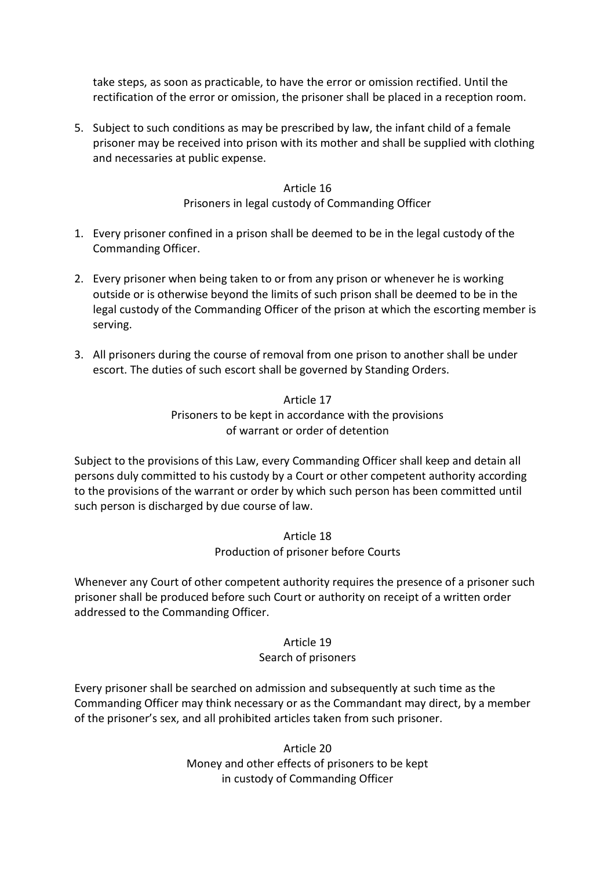take steps, as soon as practicable, to have the error or omission rectified. Until the rectification of the error or omission, the prisoner shall be placed in a reception room.

5. Subject to such conditions as may be prescribed by law, the infant child of a female prisoner may be received into prison with its mother and shall be supplied with clothing and necessaries at public expense.

#### Article 16

#### Prisoners in legal custody of Commanding Officer

- 1. Every prisoner confined in a prison shall be deemed to be in the legal custody of the Commanding Officer.
- 2. Every prisoner when being taken to or from any prison or whenever he is working outside or is otherwise beyond the limits of such prison shall be deemed to be in the legal custody of the Commanding Officer of the prison at which the escorting member is serving.
- 3. All prisoners during the course of removal from one prison to another shall be under escort. The duties of such escort shall be governed by Standing Orders.

# Article 17 Prisoners to be kept in accordance with the provisions of warrant or order of detention

Subject to the provisions of this Law, every Commanding Officer shall keep and detain all persons duly committed to his custody by a Court or other competent authority according to the provisions of the warrant or order by which such person has been committed until such person is discharged by due course of law.

#### Article 18 Production of prisoner before Courts

Whenever any Court of other competent authority requires the presence of a prisoner such prisoner shall be produced before such Court or authority on receipt of a written order addressed to the Commanding Officer.

## Article 19 Search of prisoners

Every prisoner shall be searched on admission and subsequently at such time as the Commanding Officer may think necessary or as the Commandant may direct, by a member of the prisoner's sex, and all prohibited articles taken from such prisoner.

> Article 20 Money and other effects of prisoners to be kept in custody of Commanding Officer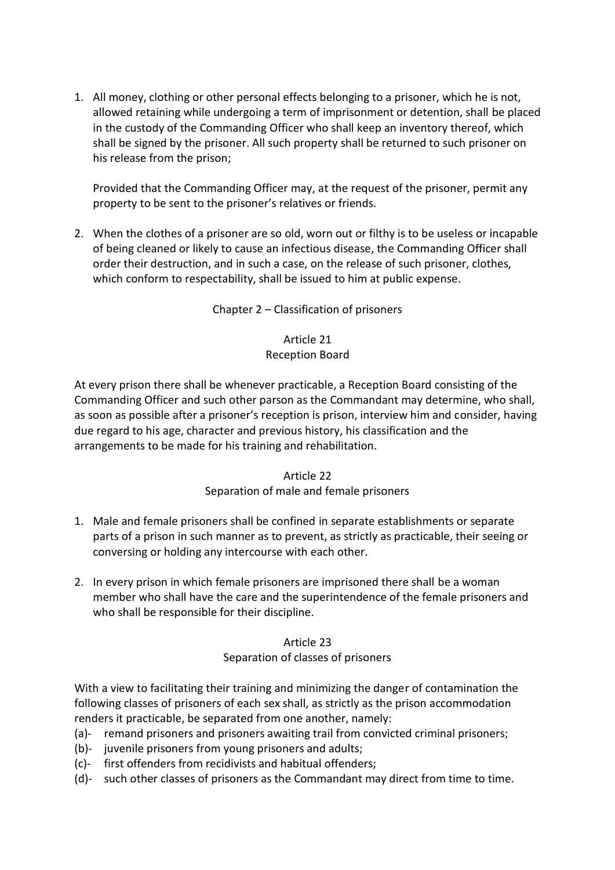1. All money, clothing or other personal effects belonging to a prisoner, which he is not, allowed retaining while undergoing a term of imprisonment or detention, shall be placed in the custody of the Commanding Officer who shall keep an inventory thereof, which shall be signed by the prisoner. All such property shall be returned to such prisoner on his release from the prison;

Provided that the Commanding Officer may, at the request of the prisoner, permit any property to be sent to the prisoner's relatives or friends.

2. When the clothes of a prisoner are so old, worn out or filthy is to be useless or incapable of being cleaned or likely to cause an infectious disease, the Commanding Officer shall order their destruction, and in such a case, on the release of such prisoner, clothes, which conform to respectability, shall be issued to him at public expense.

Chapter 2 – Classification of prisoners

# Article 21 Reception Board

At every prison there shall be whenever practicable, a Reception Board consisting of the Commanding Officer and such other parson as the Commandant may determine, who shall, as soon as possible after a prisoner's reception is prison, interview him and consider, having due regard to his age, character and previous history, his classification and the arrangements to be made for his training and rehabilitation.

## Article 22

## Separation of male and female prisoners

- 1. Male and female prisoners shall be confined in separate establishments or separate parts of a prison in such manner as to prevent, as strictly as practicable, their seeing or conversing or holding any intercourse with each other.
- 2. In every prison in which female prisoners are imprisoned there shall be a woman member who shall have the care and the superintendence of the female prisoners and who shall be responsible for their discipline.

#### Article 23

#### Separation of classes of prisoners

With a view to facilitating their training and minimizing the danger of contamination the following classes of prisoners of each sex shall, as strictly as the prison accommodation renders it practicable, be separated from one another, namely:

- (a)- remand prisoners and prisoners awaiting trail from convicted criminal prisoners;
- (b)- juvenile prisoners from young prisoners and adults;
- (c)- first offenders from recidivists and habitual offenders;
- (d)- such other classes of prisoners as the Commandant may direct from time to time.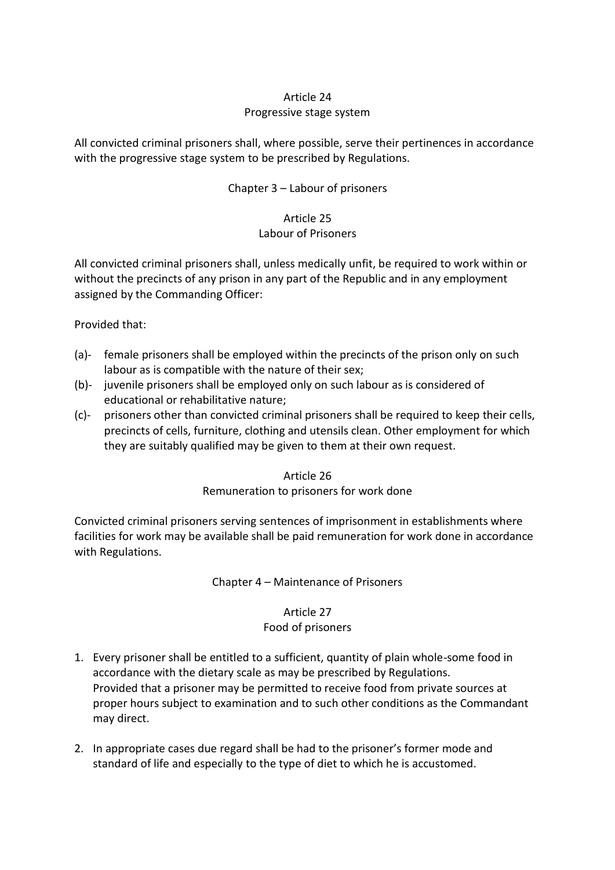# Article 24 Progressive stage system

All convicted criminal prisoners shall, where possible, serve their pertinences in accordance with the progressive stage system to be prescribed by Regulations.

# Chapter 3 – Labour of prisoners

## Article 25 Labour of Prisoners

All convicted criminal prisoners shall, unless medically unfit, be required to work within or without the precincts of any prison in any part of the Republic and in any employment assigned by the Commanding Officer:

## Provided that:

- (a)- female prisoners shall be employed within the precincts of the prison only on such labour as is compatible with the nature of their sex;
- (b)- juvenile prisoners shall be employed only on such labour as is considered of educational or rehabilitative nature;
- (c)- prisoners other than convicted criminal prisoners shall be required to keep their cells, precincts of cells, furniture, clothing and utensils clean. Other employment for which they are suitably qualified may be given to them at their own request.

## Article 26

## Remuneration to prisoners for work done

Convicted criminal prisoners serving sentences of imprisonment in establishments where facilities for work may be available shall be paid remuneration for work done in accordance with Regulations.

## Chapter 4 – Maintenance of Prisoners

## Article 27

## Food of prisoners

- 1. Every prisoner shall be entitled to a sufficient, quantity of plain whole-some food in accordance with the dietary scale as may be prescribed by Regulations. Provided that a prisoner may be permitted to receive food from private sources at proper hours subject to examination and to such other conditions as the Commandant may direct.
- 2. In appropriate cases due regard shall be had to the prisoner's former mode and standard of life and especially to the type of diet to which he is accustomed.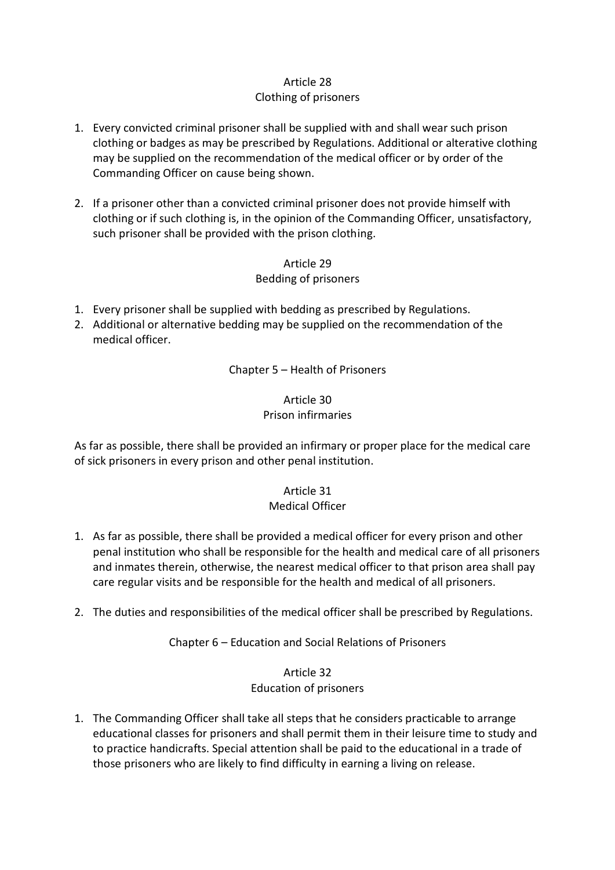# Clothing of prisoners

- 1. Every convicted criminal prisoner shall be supplied with and shall wear such prison clothing or badges as may be prescribed by Regulations. Additional or alterative clothing may be supplied on the recommendation of the medical officer or by order of the Commanding Officer on cause being shown.
- 2. If a prisoner other than a convicted criminal prisoner does not provide himself with clothing or if such clothing is, in the opinion of the Commanding Officer, unsatisfactory, such prisoner shall be provided with the prison clothing.

Article 29 Bedding of prisoners

- 1. Every prisoner shall be supplied with bedding as prescribed by Regulations.
- 2. Additional or alternative bedding may be supplied on the recommendation of the medical officer.

Chapter 5 – Health of Prisoners

# Article 30 Prison infirmaries

As far as possible, there shall be provided an infirmary or proper place for the medical care of sick prisoners in every prison and other penal institution.

#### Article 31 Medical Officer

- 1. As far as possible, there shall be provided a medical officer for every prison and other penal institution who shall be responsible for the health and medical care of all prisoners and inmates therein, otherwise, the nearest medical officer to that prison area shall pay care regular visits and be responsible for the health and medical of all prisoners.
- 2. The duties and responsibilities of the medical officer shall be prescribed by Regulations.

Chapter 6 – Education and Social Relations of Prisoners

# Article 32 Education of prisoners

1. The Commanding Officer shall take all steps that he considers practicable to arrange educational classes for prisoners and shall permit them in their leisure time to study and to practice handicrafts. Special attention shall be paid to the educational in a trade of those prisoners who are likely to find difficulty in earning a living on release.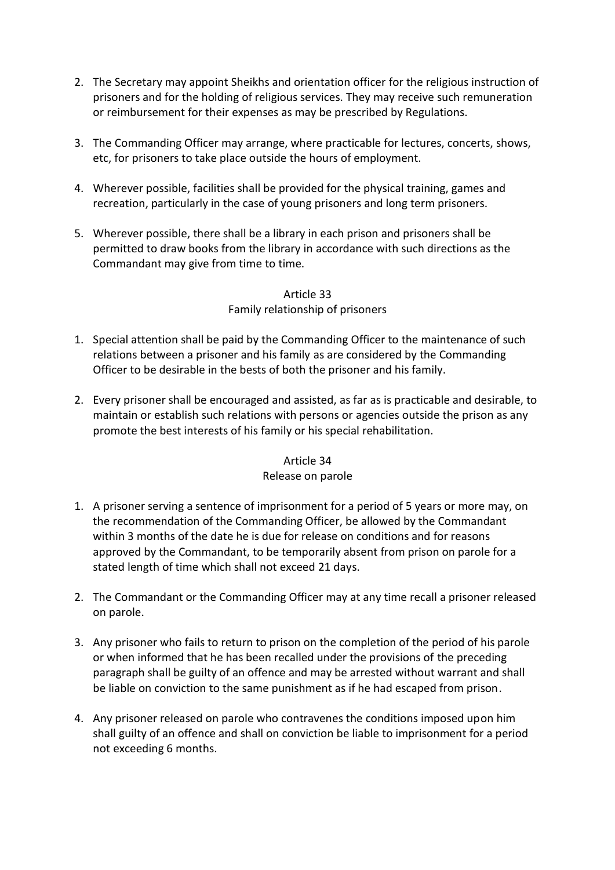- 2. The Secretary may appoint Sheikhs and orientation officer for the religious instruction of prisoners and for the holding of religious services. They may receive such remuneration or reimbursement for their expenses as may be prescribed by Regulations.
- 3. The Commanding Officer may arrange, where practicable for lectures, concerts, shows, etc, for prisoners to take place outside the hours of employment.
- 4. Wherever possible, facilities shall be provided for the physical training, games and recreation, particularly in the case of young prisoners and long term prisoners.
- 5. Wherever possible, there shall be a library in each prison and prisoners shall be permitted to draw books from the library in accordance with such directions as the Commandant may give from time to time.

## Article 33 Family relationship of prisoners

- 1. Special attention shall be paid by the Commanding Officer to the maintenance of such relations between a prisoner and his family as are considered by the Commanding Officer to be desirable in the bests of both the prisoner and his family.
- 2. Every prisoner shall be encouraged and assisted, as far as is practicable and desirable, to maintain or establish such relations with persons or agencies outside the prison as any promote the best interests of his family or his special rehabilitation.

# Article 34

## Release on parole

- 1. A prisoner serving a sentence of imprisonment for a period of 5 years or more may, on the recommendation of the Commanding Officer, be allowed by the Commandant within 3 months of the date he is due for release on conditions and for reasons approved by the Commandant, to be temporarily absent from prison on parole for a stated length of time which shall not exceed 21 days.
- 2. The Commandant or the Commanding Officer may at any time recall a prisoner released on parole.
- 3. Any prisoner who fails to return to prison on the completion of the period of his parole or when informed that he has been recalled under the provisions of the preceding paragraph shall be guilty of an offence and may be arrested without warrant and shall be liable on conviction to the same punishment as if he had escaped from prison.
- 4. Any prisoner released on parole who contravenes the conditions imposed upon him shall guilty of an offence and shall on conviction be liable to imprisonment for a period not exceeding 6 months.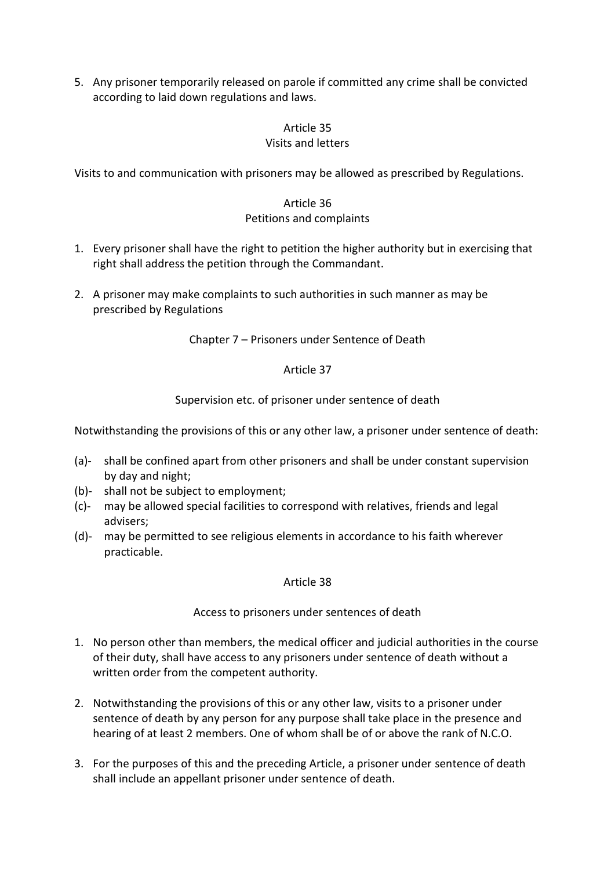5. Any prisoner temporarily released on parole if committed any crime shall be convicted according to laid down regulations and laws.

#### Article 35 Visits and letters

Visits to and communication with prisoners may be allowed as prescribed by Regulations.

## Article 36 Petitions and complaints

- 1. Every prisoner shall have the right to petition the higher authority but in exercising that right shall address the petition through the Commandant.
- 2. A prisoner may make complaints to such authorities in such manner as may be prescribed by Regulations

Chapter 7 – Prisoners under Sentence of Death

# Article 37

Supervision etc. of prisoner under sentence of death

Notwithstanding the provisions of this or any other law, a prisoner under sentence of death:

- (a)- shall be confined apart from other prisoners and shall be under constant supervision by day and night;
- (b)- shall not be subject to employment;
- (c)- may be allowed special facilities to correspond with relatives, friends and legal advisers;
- (d)- may be permitted to see religious elements in accordance to his faith wherever practicable.

## Article 38

Access to prisoners under sentences of death

- 1. No person other than members, the medical officer and judicial authorities in the course of their duty, shall have access to any prisoners under sentence of death without a written order from the competent authority.
- 2. Notwithstanding the provisions of this or any other law, visits to a prisoner under sentence of death by any person for any purpose shall take place in the presence and hearing of at least 2 members. One of whom shall be of or above the rank of N.C.O.
- 3. For the purposes of this and the preceding Article, a prisoner under sentence of death shall include an appellant prisoner under sentence of death.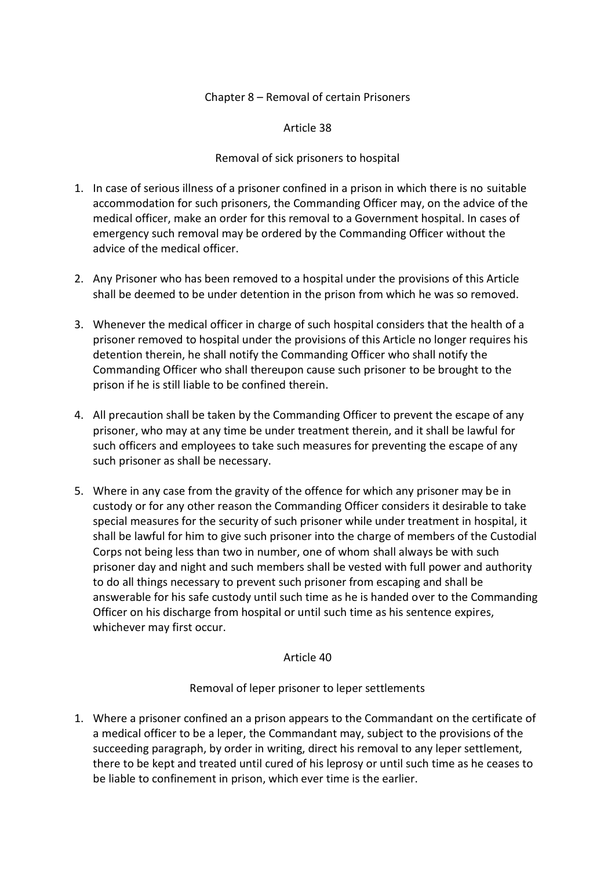#### Chapter 8 – Removal of certain Prisoners

Article 38

#### Removal of sick prisoners to hospital

- 1. In case of serious illness of a prisoner confined in a prison in which there is no suitable accommodation for such prisoners, the Commanding Officer may, on the advice of the medical officer, make an order for this removal to a Government hospital. In cases of emergency such removal may be ordered by the Commanding Officer without the advice of the medical officer.
- 2. Any Prisoner who has been removed to a hospital under the provisions of this Article shall be deemed to be under detention in the prison from which he was so removed.
- 3. Whenever the medical officer in charge of such hospital considers that the health of a prisoner removed to hospital under the provisions of this Article no longer requires his detention therein, he shall notify the Commanding Officer who shall notify the Commanding Officer who shall thereupon cause such prisoner to be brought to the prison if he is still liable to be confined therein.
- 4. All precaution shall be taken by the Commanding Officer to prevent the escape of any prisoner, who may at any time be under treatment therein, and it shall be lawful for such officers and employees to take such measures for preventing the escape of any such prisoner as shall be necessary.
- 5. Where in any case from the gravity of the offence for which any prisoner may be in custody or for any other reason the Commanding Officer considers it desirable to take special measures for the security of such prisoner while under treatment in hospital, it shall be lawful for him to give such prisoner into the charge of members of the Custodial Corps not being less than two in number, one of whom shall always be with such prisoner day and night and such members shall be vested with full power and authority to do all things necessary to prevent such prisoner from escaping and shall be answerable for his safe custody until such time as he is handed over to the Commanding Officer on his discharge from hospital or until such time as his sentence expires, whichever may first occur.

#### Article 40

#### Removal of leper prisoner to leper settlements

1. Where a prisoner confined an a prison appears to the Commandant on the certificate of a medical officer to be a leper, the Commandant may, subject to the provisions of the succeeding paragraph, by order in writing, direct his removal to any leper settlement, there to be kept and treated until cured of his leprosy or until such time as he ceases to be liable to confinement in prison, which ever time is the earlier.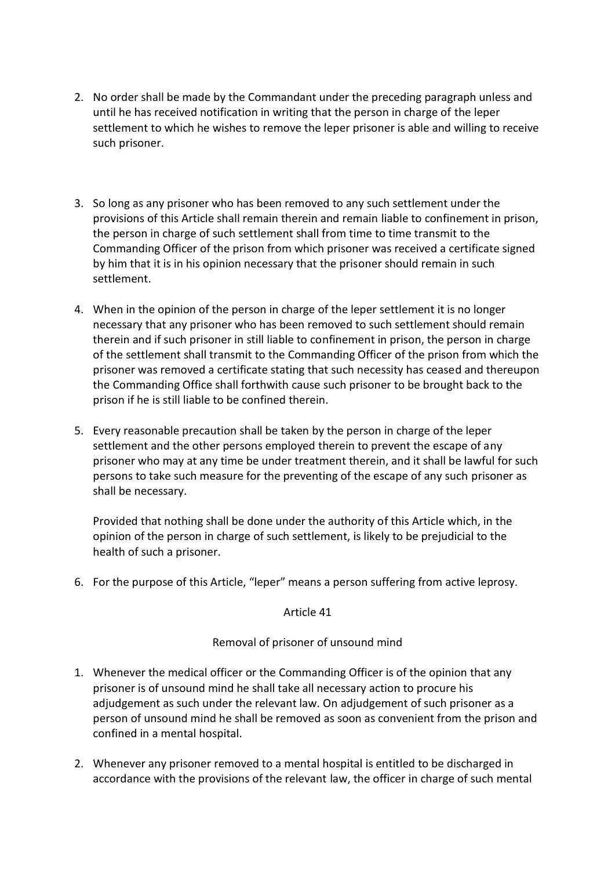- 2. No order shall be made by the Commandant under the preceding paragraph unless and until he has received notification in writing that the person in charge of the leper settlement to which he wishes to remove the leper prisoner is able and willing to receive such prisoner.
- 3. So long as any prisoner who has been removed to any such settlement under the provisions of this Article shall remain therein and remain liable to confinement in prison, the person in charge of such settlement shall from time to time transmit to the Commanding Officer of the prison from which prisoner was received a certificate signed by him that it is in his opinion necessary that the prisoner should remain in such settlement.
- 4. When in the opinion of the person in charge of the leper settlement it is no longer necessary that any prisoner who has been removed to such settlement should remain therein and if such prisoner in still liable to confinement in prison, the person in charge of the settlement shall transmit to the Commanding Officer of the prison from which the prisoner was removed a certificate stating that such necessity has ceased and thereupon the Commanding Office shall forthwith cause such prisoner to be brought back to the prison if he is still liable to be confined therein.
- 5. Every reasonable precaution shall be taken by the person in charge of the leper settlement and the other persons employed therein to prevent the escape of any prisoner who may at any time be under treatment therein, and it shall be lawful for such persons to take such measure for the preventing of the escape of any such prisoner as shall be necessary.

Provided that nothing shall be done under the authority of this Article which, in the opinion of the person in charge of such settlement, is likely to be prejudicial to the health of such a prisoner.

6. For the purpose of this Article, "leper" means a person suffering from active leprosy.

#### Article 41

#### Removal of prisoner of unsound mind

- 1. Whenever the medical officer or the Commanding Officer is of the opinion that any prisoner is of unsound mind he shall take all necessary action to procure his adjudgement as such under the relevant law. On adjudgement of such prisoner as a person of unsound mind he shall be removed as soon as convenient from the prison and confined in a mental hospital.
- 2. Whenever any prisoner removed to a mental hospital is entitled to be discharged in accordance with the provisions of the relevant law, the officer in charge of such mental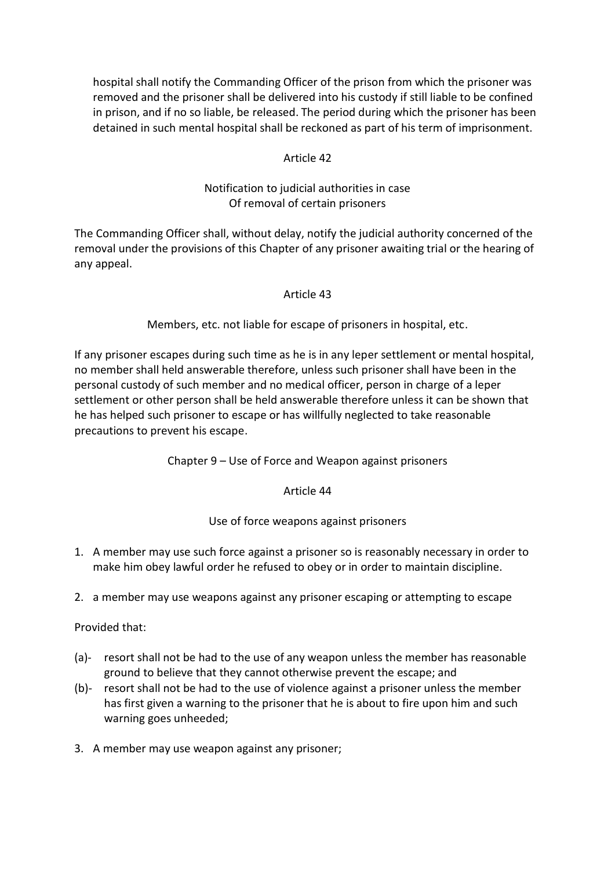hospital shall notify the Commanding Officer of the prison from which the prisoner was removed and the prisoner shall be delivered into his custody if still liable to be confined in prison, and if no so liable, be released. The period during which the prisoner has been detained in such mental hospital shall be reckoned as part of his term of imprisonment.

## Article 42

# Notification to judicial authorities in case Of removal of certain prisoners

The Commanding Officer shall, without delay, notify the judicial authority concerned of the removal under the provisions of this Chapter of any prisoner awaiting trial or the hearing of any appeal.

#### Article 43

Members, etc. not liable for escape of prisoners in hospital, etc.

If any prisoner escapes during such time as he is in any leper settlement or mental hospital, no member shall held answerable therefore, unless such prisoner shall have been in the personal custody of such member and no medical officer, person in charge of a leper settlement or other person shall be held answerable therefore unless it can be shown that he has helped such prisoner to escape or has willfully neglected to take reasonable precautions to prevent his escape.

Chapter 9 – Use of Force and Weapon against prisoners

#### Article 44

## Use of force weapons against prisoners

- 1. A member may use such force against a prisoner so is reasonably necessary in order to make him obey lawful order he refused to obey or in order to maintain discipline.
- 2. a member may use weapons against any prisoner escaping or attempting to escape

Provided that:

- (a)- resort shall not be had to the use of any weapon unless the member has reasonable ground to believe that they cannot otherwise prevent the escape; and
- (b)- resort shall not be had to the use of violence against a prisoner unless the member has first given a warning to the prisoner that he is about to fire upon him and such warning goes unheeded;
- 3. A member may use weapon against any prisoner;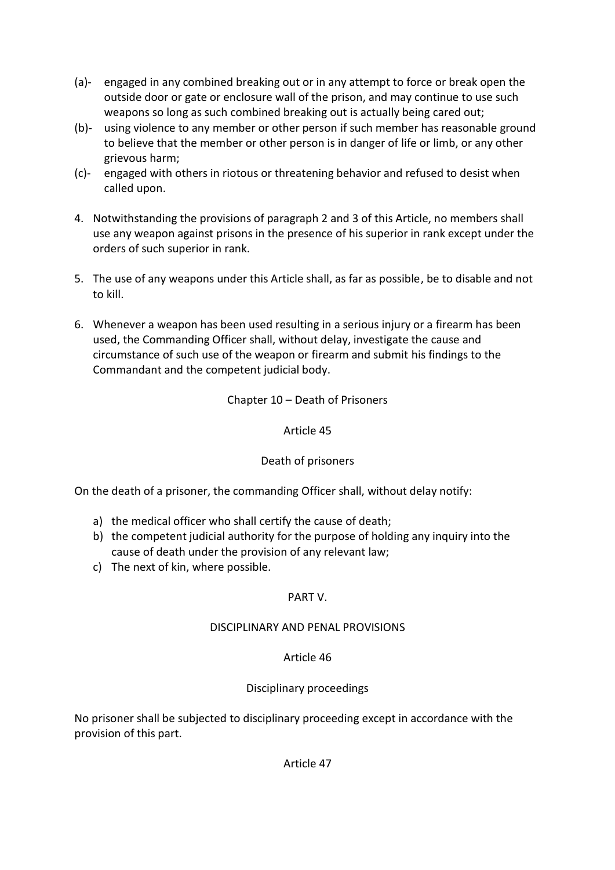- (a)- engaged in any combined breaking out or in any attempt to force or break open the outside door or gate or enclosure wall of the prison, and may continue to use such weapons so long as such combined breaking out is actually being cared out;
- (b)- using violence to any member or other person if such member has reasonable ground to believe that the member or other person is in danger of life or limb, or any other grievous harm;
- (c)- engaged with others in riotous or threatening behavior and refused to desist when called upon.
- 4. Notwithstanding the provisions of paragraph 2 and 3 of this Article, no members shall use any weapon against prisons in the presence of his superior in rank except under the orders of such superior in rank.
- 5. The use of any weapons under this Article shall, as far as possible, be to disable and not to kill.
- 6. Whenever a weapon has been used resulting in a serious injury or a firearm has been used, the Commanding Officer shall, without delay, investigate the cause and circumstance of such use of the weapon or firearm and submit his findings to the Commandant and the competent judicial body.

# Chapter 10 – Death of Prisoners

#### Article 45

## Death of prisoners

On the death of a prisoner, the commanding Officer shall, without delay notify:

- a) the medical officer who shall certify the cause of death;
- b) the competent judicial authority for the purpose of holding any inquiry into the cause of death under the provision of any relevant law;
- c) The next of kin, where possible.

## PART V.

## DISCIPLINARY AND PENAL PROVISIONS

## Article 46

## Disciplinary proceedings

No prisoner shall be subjected to disciplinary proceeding except in accordance with the provision of this part.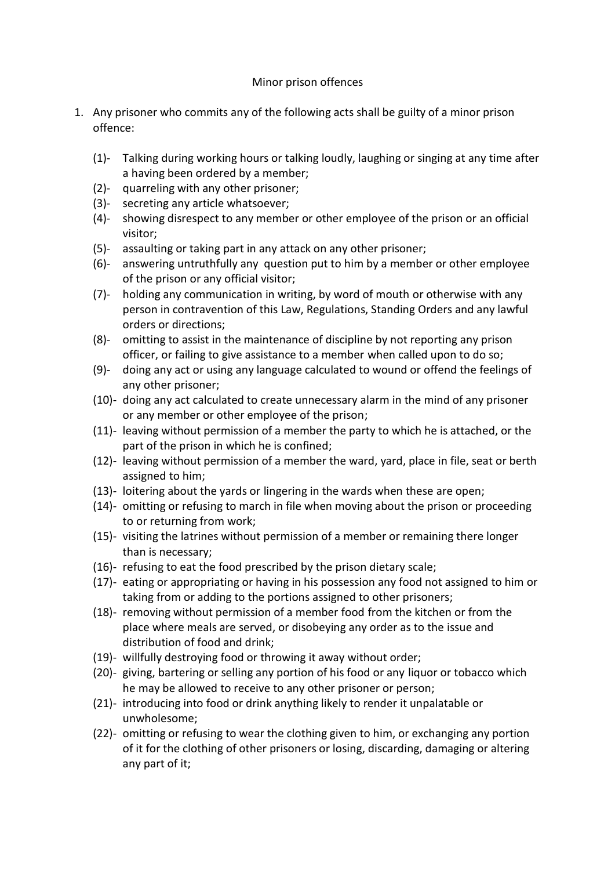## Minor prison offences

- 1. Any prisoner who commits any of the following acts shall be guilty of a minor prison offence:
	- (1)- Talking during working hours or talking loudly, laughing or singing at any time after a having been ordered by a member;
	- (2)- quarreling with any other prisoner;
	- (3)- secreting any article whatsoever;
	- (4)- showing disrespect to any member or other employee of the prison or an official visitor;
	- (5)- assaulting or taking part in any attack on any other prisoner;
	- (6)- answering untruthfully any question put to him by a member or other employee of the prison or any official visitor;
	- (7)- holding any communication in writing, by word of mouth or otherwise with any person in contravention of this Law, Regulations, Standing Orders and any lawful orders or directions;
	- (8)- omitting to assist in the maintenance of discipline by not reporting any prison officer, or failing to give assistance to a member when called upon to do so;
	- (9)- doing any act or using any language calculated to wound or offend the feelings of any other prisoner;
	- (10)- doing any act calculated to create unnecessary alarm in the mind of any prisoner or any member or other employee of the prison;
	- (11)- leaving without permission of a member the party to which he is attached, or the part of the prison in which he is confined;
	- (12)- leaving without permission of a member the ward, yard, place in file, seat or berth assigned to him;
	- (13)- loitering about the yards or lingering in the wards when these are open;
	- (14)- omitting or refusing to march in file when moving about the prison or proceeding to or returning from work;
	- (15)- visiting the latrines without permission of a member or remaining there longer than is necessary;
	- (16)- refusing to eat the food prescribed by the prison dietary scale;
	- (17)- eating or appropriating or having in his possession any food not assigned to him or taking from or adding to the portions assigned to other prisoners;
	- (18)- removing without permission of a member food from the kitchen or from the place where meals are served, or disobeying any order as to the issue and distribution of food and drink;
	- (19)- willfully destroying food or throwing it away without order;
	- (20)- giving, bartering or selling any portion of his food or any liquor or tobacco which he may be allowed to receive to any other prisoner or person;
	- (21)- introducing into food or drink anything likely to render it unpalatable or unwholesome;
	- (22)- omitting or refusing to wear the clothing given to him, or exchanging any portion of it for the clothing of other prisoners or losing, discarding, damaging or altering any part of it;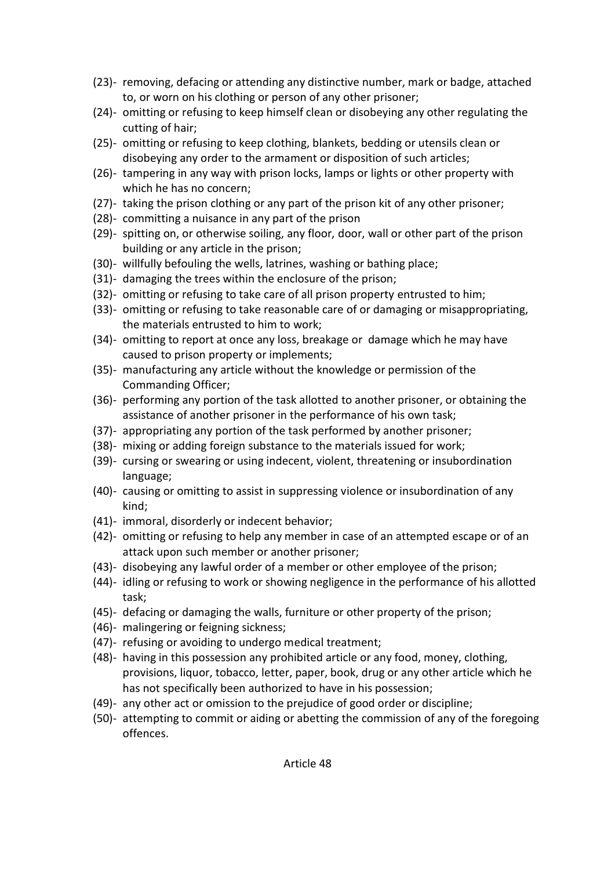- (23)- removing, defacing or attending any distinctive number, mark or badge, attached to, or worn on his clothing or person of any other prisoner;
- (24)- omitting or refusing to keep himself clean or disobeying any other regulating the cutting of hair;
- (25)- omitting or refusing to keep clothing, blankets, bedding or utensils clean or disobeying any order to the armament or disposition of such articles;
- (26)- tampering in any way with prison locks, lamps or lights or other property with which he has no concern;
- (27)- taking the prison clothing or any part of the prison kit of any other prisoner;
- (28)- committing a nuisance in any part of the prison
- (29)- spitting on, or otherwise soiling, any floor, door, wall or other part of the prison building or any article in the prison;
- (30)- willfully befouling the wells, latrines, washing or bathing place;
- (31)- damaging the trees within the enclosure of the prison;
- (32)- omitting or refusing to take care of all prison property entrusted to him;
- (33)- omitting or refusing to take reasonable care of or damaging or misappropriating, the materials entrusted to him to work;
- (34)- omitting to report at once any loss, breakage or damage which he may have caused to prison property or implements;
- (35)- manufacturing any article without the knowledge or permission of the Commanding Officer;
- (36)- performing any portion of the task allotted to another prisoner, or obtaining the assistance of another prisoner in the performance of his own task;
- (37)- appropriating any portion of the task performed by another prisoner;
- (38)- mixing or adding foreign substance to the materials issued for work;
- (39)- cursing or swearing or using indecent, violent, threatening or insubordination language;
- (40)- causing or omitting to assist in suppressing violence or insubordination of any kind;
- (41)- immoral, disorderly or indecent behavior;
- (42)- omitting or refusing to help any member in case of an attempted escape or of an attack upon such member or another prisoner;
- (43)- disobeying any lawful order of a member or other employee of the prison;
- (44)- idling or refusing to work or showing negligence in the performance of his allotted task;
- (45)- defacing or damaging the walls, furniture or other property of the prison;
- (46)- malingering or feigning sickness;
- (47)- refusing or avoiding to undergo medical treatment;
- (48)- having in this possession any prohibited article or any food, money, clothing, provisions, liquor, tobacco, letter, paper, book, drug or any other article which he has not specifically been authorized to have in his possession;
- (49)- any other act or omission to the prejudice of good order or discipline;
- (50)- attempting to commit or aiding or abetting the commission of any of the foregoing offences.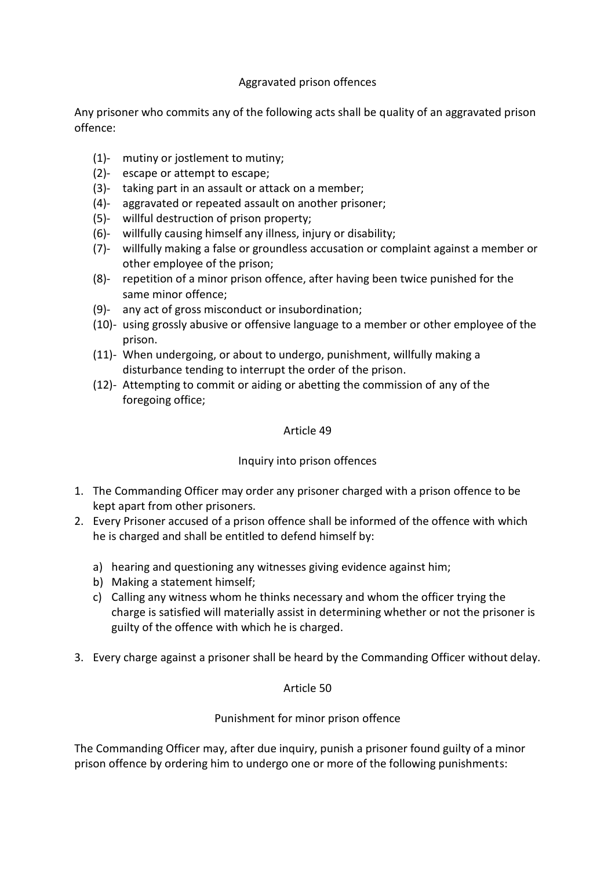## Aggravated prison offences

Any prisoner who commits any of the following acts shall be quality of an aggravated prison offence:

- (1)- mutiny or jostlement to mutiny;
- (2)- escape or attempt to escape;
- (3)- taking part in an assault or attack on a member;
- (4)- aggravated or repeated assault on another prisoner;
- (5)- willful destruction of prison property;
- (6)- willfully causing himself any illness, injury or disability;
- (7)- willfully making a false or groundless accusation or complaint against a member or other employee of the prison;
- (8)- repetition of a minor prison offence, after having been twice punished for the same minor offence;
- (9)- any act of gross misconduct or insubordination;
- (10)- using grossly abusive or offensive language to a member or other employee of the prison.
- (11)- When undergoing, or about to undergo, punishment, willfully making a disturbance tending to interrupt the order of the prison.
- (12)- Attempting to commit or aiding or abetting the commission of any of the foregoing office;

#### Article 49

## Inquiry into prison offences

- 1. The Commanding Officer may order any prisoner charged with a prison offence to be kept apart from other prisoners.
- 2. Every Prisoner accused of a prison offence shall be informed of the offence with which he is charged and shall be entitled to defend himself by:
	- a) hearing and questioning any witnesses giving evidence against him;
	- b) Making a statement himself;
	- c) Calling any witness whom he thinks necessary and whom the officer trying the charge is satisfied will materially assist in determining whether or not the prisoner is guilty of the offence with which he is charged.
- 3. Every charge against a prisoner shall be heard by the Commanding Officer without delay.

## Article 50

## Punishment for minor prison offence

The Commanding Officer may, after due inquiry, punish a prisoner found guilty of a minor prison offence by ordering him to undergo one or more of the following punishments: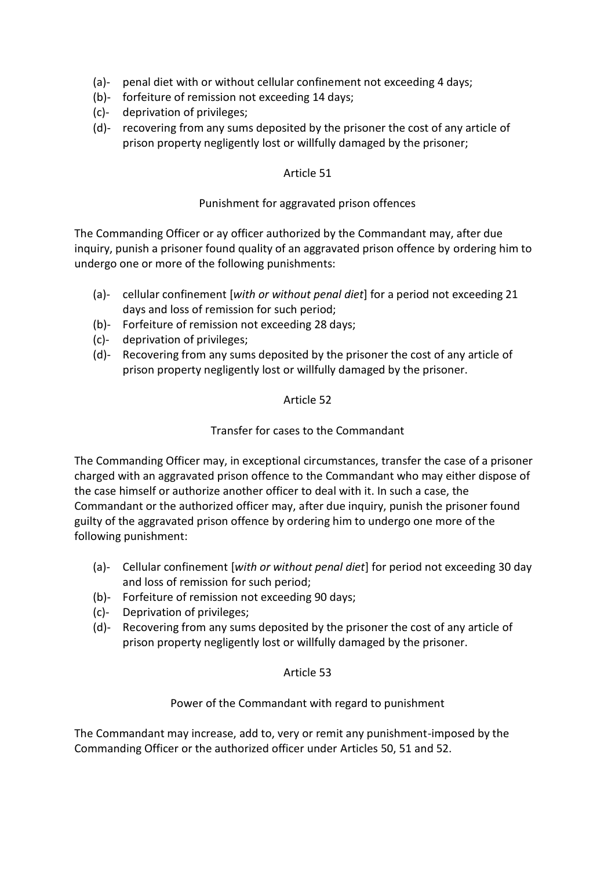- (a)- penal diet with or without cellular confinement not exceeding 4 days;
- (b)- forfeiture of remission not exceeding 14 days;
- (c)- deprivation of privileges;
- (d)- recovering from any sums deposited by the prisoner the cost of any article of prison property negligently lost or willfully damaged by the prisoner;

#### Punishment for aggravated prison offences

The Commanding Officer or ay officer authorized by the Commandant may, after due inquiry, punish a prisoner found quality of an aggravated prison offence by ordering him to undergo one or more of the following punishments:

- (a)- cellular confinement [*with or without penal diet*] for a period not exceeding 21 days and loss of remission for such period;
- (b)- Forfeiture of remission not exceeding 28 days;
- (c)- deprivation of privileges;
- (d)- Recovering from any sums deposited by the prisoner the cost of any article of prison property negligently lost or willfully damaged by the prisoner.

#### Article 52

#### Transfer for cases to the Commandant

The Commanding Officer may, in exceptional circumstances, transfer the case of a prisoner charged with an aggravated prison offence to the Commandant who may either dispose of the case himself or authorize another officer to deal with it. In such a case, the Commandant or the authorized officer may, after due inquiry, punish the prisoner found guilty of the aggravated prison offence by ordering him to undergo one more of the following punishment:

- (a)- Cellular confinement [*with or without penal diet*] for period not exceeding 30 day and loss of remission for such period;
- (b)- Forfeiture of remission not exceeding 90 days;
- (c)- Deprivation of privileges;
- (d)- Recovering from any sums deposited by the prisoner the cost of any article of prison property negligently lost or willfully damaged by the prisoner.

#### Article 53

## Power of the Commandant with regard to punishment

The Commandant may increase, add to, very or remit any punishment-imposed by the Commanding Officer or the authorized officer under Articles 50, 51 and 52.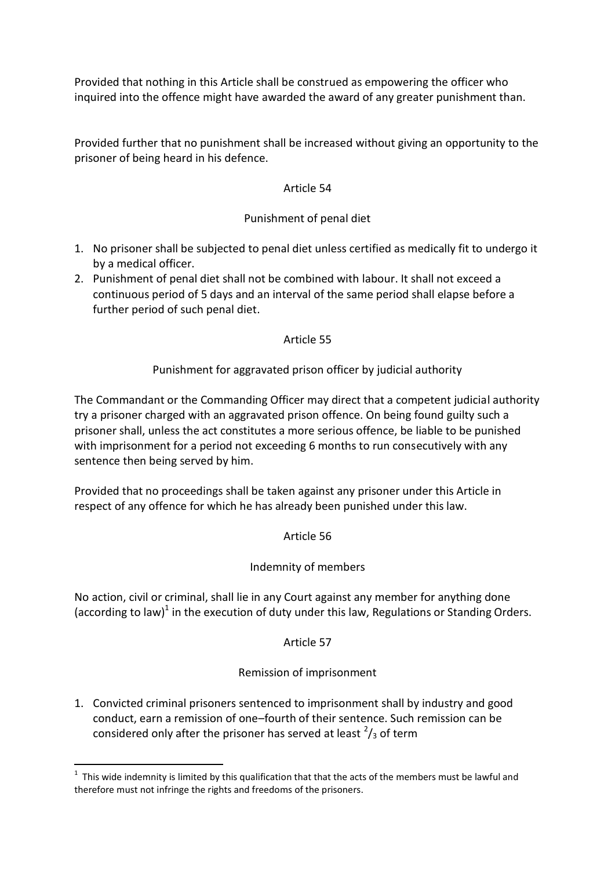Provided that nothing in this Article shall be construed as empowering the officer who inquired into the offence might have awarded the award of any greater punishment than.

Provided further that no punishment shall be increased without giving an opportunity to the prisoner of being heard in his defence.

# Article 54

# Punishment of penal diet

- 1. No prisoner shall be subjected to penal diet unless certified as medically fit to undergo it by a medical officer.
- 2. Punishment of penal diet shall not be combined with labour. It shall not exceed a continuous period of 5 days and an interval of the same period shall elapse before a further period of such penal diet.

# Article 55

# Punishment for aggravated prison officer by judicial authority

The Commandant or the Commanding Officer may direct that a competent judicial authority try a prisoner charged with an aggravated prison offence. On being found guilty such a prisoner shall, unless the act constitutes a more serious offence, be liable to be punished with imprisonment for a period not exceeding 6 months to run consecutively with any sentence then being served by him.

Provided that no proceedings shall be taken against any prisoner under this Article in respect of any offence for which he has already been punished under this law.

Article 56

## Indemnity of members

No action, civil or criminal, shall lie in any Court against any member for anything done (according to law)<sup>1</sup> in the execution of duty under this law, Regulations or Standing Orders.

## Article 57

## Remission of imprisonment

1. Convicted criminal prisoners sentenced to imprisonment shall by industry and good conduct, earn a remission of one–fourth of their sentence. Such remission can be considered only after the prisoner has served at least  $2/3$  of term

1

 $1$  This wide indemnity is limited by this qualification that that the acts of the members must be lawful and therefore must not infringe the rights and freedoms of the prisoners.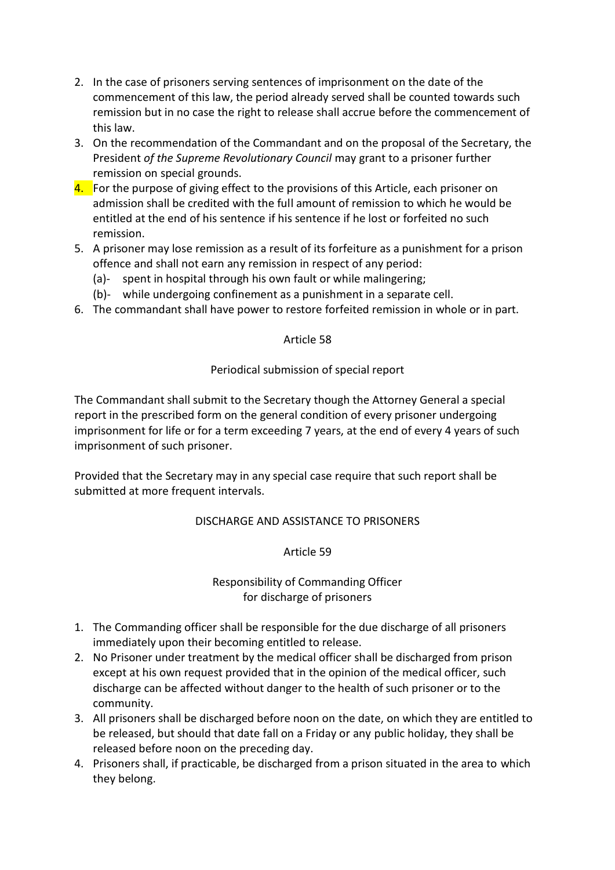- 2. In the case of prisoners serving sentences of imprisonment on the date of the commencement of this law, the period already served shall be counted towards such remission but in no case the right to release shall accrue before the commencement of this law.
- 3. On the recommendation of the Commandant and on the proposal of the Secretary, the President *of the Supreme Revolutionary Council* may grant to a prisoner further remission on special grounds.
- 4. For the purpose of giving effect to the provisions of this Article, each prisoner on admission shall be credited with the full amount of remission to which he would be entitled at the end of his sentence if his sentence if he lost or forfeited no such remission.
- 5. A prisoner may lose remission as a result of its forfeiture as a punishment for a prison offence and shall not earn any remission in respect of any period:
	- (a)- spent in hospital through his own fault or while malingering;
	- (b)- while undergoing confinement as a punishment in a separate cell.
- 6. The commandant shall have power to restore forfeited remission in whole or in part.

## Periodical submission of special report

The Commandant shall submit to the Secretary though the Attorney General a special report in the prescribed form on the general condition of every prisoner undergoing imprisonment for life or for a term exceeding 7 years, at the end of every 4 years of such imprisonment of such prisoner.

Provided that the Secretary may in any special case require that such report shall be submitted at more frequent intervals.

## DISCHARGE AND ASSISTANCE TO PRISONERS

Article 59

Responsibility of Commanding Officer for discharge of prisoners

- 1. The Commanding officer shall be responsible for the due discharge of all prisoners immediately upon their becoming entitled to release.
- 2. No Prisoner under treatment by the medical officer shall be discharged from prison except at his own request provided that in the opinion of the medical officer, such discharge can be affected without danger to the health of such prisoner or to the community.
- 3. All prisoners shall be discharged before noon on the date, on which they are entitled to be released, but should that date fall on a Friday or any public holiday, they shall be released before noon on the preceding day.
- 4. Prisoners shall, if practicable, be discharged from a prison situated in the area to which they belong.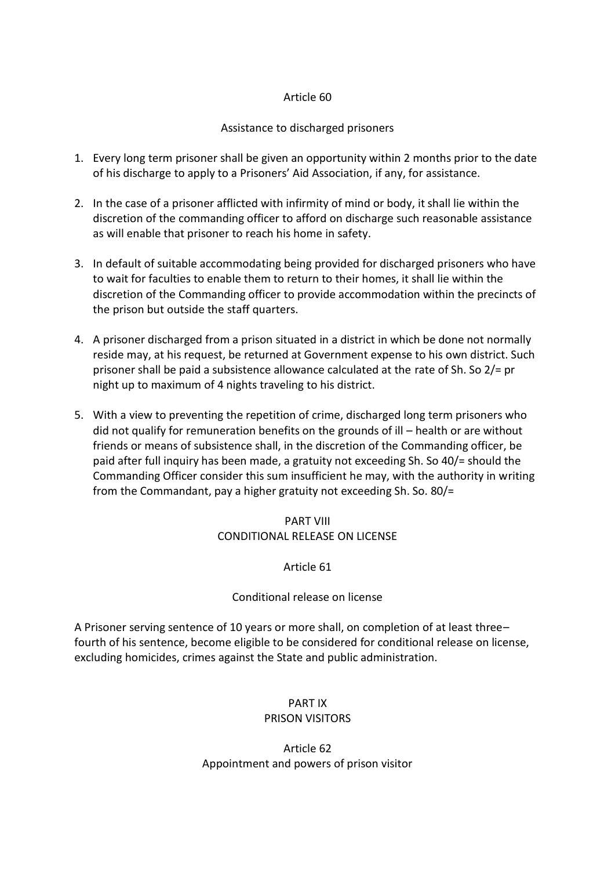## Assistance to discharged prisoners

- 1. Every long term prisoner shall be given an opportunity within 2 months prior to the date of his discharge to apply to a Prisoners' Aid Association, if any, for assistance.
- 2. In the case of a prisoner afflicted with infirmity of mind or body, it shall lie within the discretion of the commanding officer to afford on discharge such reasonable assistance as will enable that prisoner to reach his home in safety.
- 3. In default of suitable accommodating being provided for discharged prisoners who have to wait for faculties to enable them to return to their homes, it shall lie within the discretion of the Commanding officer to provide accommodation within the precincts of the prison but outside the staff quarters.
- 4. A prisoner discharged from a prison situated in a district in which be done not normally reside may, at his request, be returned at Government expense to his own district. Such prisoner shall be paid a subsistence allowance calculated at the rate of Sh. So 2/= pr night up to maximum of 4 nights traveling to his district.
- 5. With a view to preventing the repetition of crime, discharged long term prisoners who did not qualify for remuneration benefits on the grounds of ill – health or are without friends or means of subsistence shall, in the discretion of the Commanding officer, be paid after full inquiry has been made, a gratuity not exceeding Sh. So 40/= should the Commanding Officer consider this sum insufficient he may, with the authority in writing from the Commandant, pay a higher gratuity not exceeding Sh. So. 80/=

# PART VIII CONDITIONAL RELEASE ON LICENSE

# Article 61

## Conditional release on license

A Prisoner serving sentence of 10 years or more shall, on completion of at least three– fourth of his sentence, become eligible to be considered for conditional release on license, excluding homicides, crimes against the State and public administration.

## PART IX PRISON VISITORS

# Article 62 Appointment and powers of prison visitor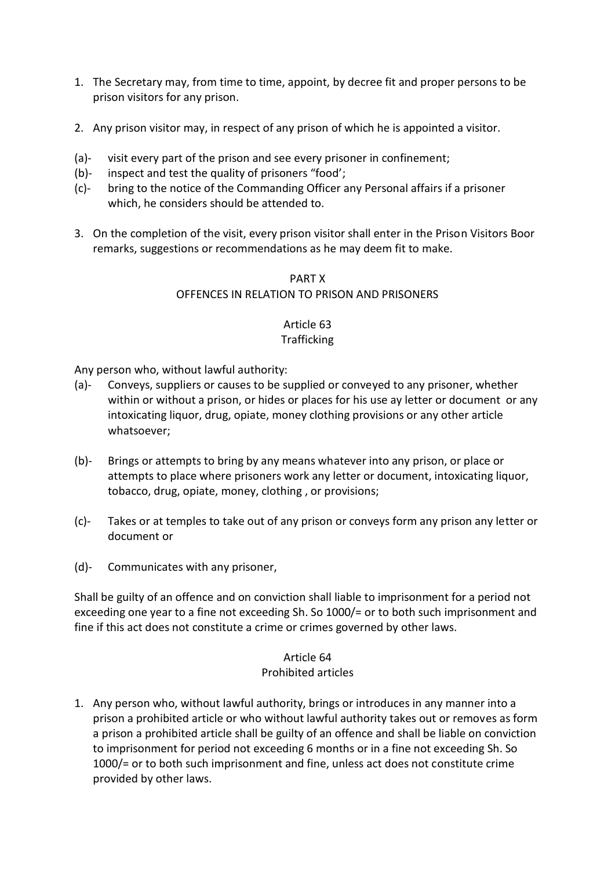- 1. The Secretary may, from time to time, appoint, by decree fit and proper persons to be prison visitors for any prison.
- 2. Any prison visitor may, in respect of any prison of which he is appointed a visitor.
- (a)- visit every part of the prison and see every prisoner in confinement;
- (b)- inspect and test the quality of prisoners "food';
- (c)- bring to the notice of the Commanding Officer any Personal affairs if a prisoner which, he considers should be attended to.
- 3. On the completion of the visit, every prison visitor shall enter in the Prison Visitors Boor remarks, suggestions or recommendations as he may deem fit to make.

# PART X OFFENCES IN RELATION TO PRISON AND PRISONERS

# Article 63

## **Trafficking**

Any person who, without lawful authority:

- (a)- Conveys, suppliers or causes to be supplied or conveyed to any prisoner, whether within or without a prison, or hides or places for his use ay letter or document or any intoxicating liquor, drug, opiate, money clothing provisions or any other article whatsoever;
- (b)- Brings or attempts to bring by any means whatever into any prison, or place or attempts to place where prisoners work any letter or document, intoxicating liquor, tobacco, drug, opiate, money, clothing , or provisions;
- (c)- Takes or at temples to take out of any prison or conveys form any prison any letter or document or
- (d)- Communicates with any prisoner,

Shall be guilty of an offence and on conviction shall liable to imprisonment for a period not exceeding one year to a fine not exceeding Sh. So 1000/= or to both such imprisonment and fine if this act does not constitute a crime or crimes governed by other laws.

#### Article 64 Prohibited articles

1. Any person who, without lawful authority, brings or introduces in any manner into a prison a prohibited article or who without lawful authority takes out or removes as form a prison a prohibited article shall be guilty of an offence and shall be liable on conviction to imprisonment for period not exceeding 6 months or in a fine not exceeding Sh. So 1000/= or to both such imprisonment and fine, unless act does not constitute crime provided by other laws.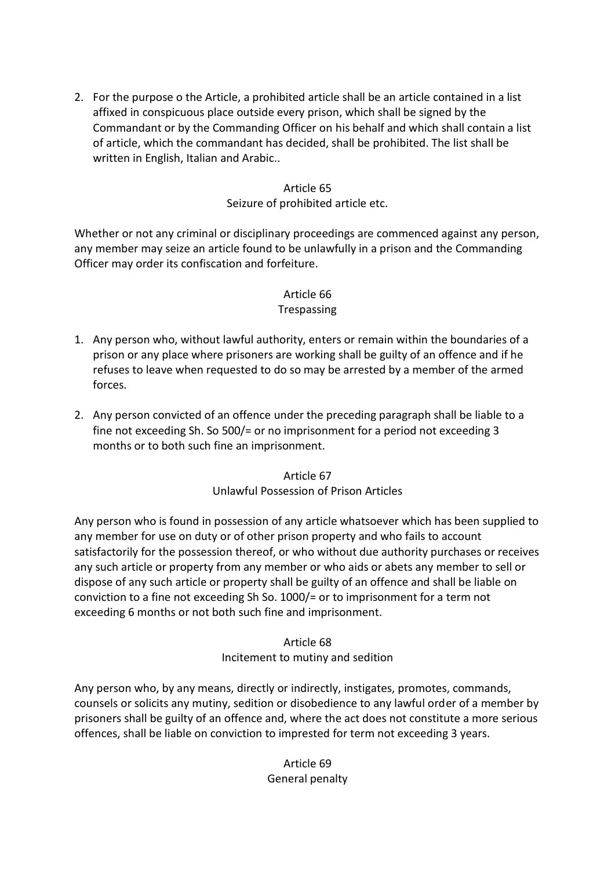2. For the purpose o the Article, a prohibited article shall be an article contained in a list affixed in conspicuous place outside every prison, which shall be signed by the Commandant or by the Commanding Officer on his behalf and which shall contain a list of article, which the commandant has decided, shall be prohibited. The list shall be written in English, Italian and Arabic..

#### Article 65

#### Seizure of prohibited article etc.

Whether or not any criminal or disciplinary proceedings are commenced against any person, any member may seize an article found to be unlawfully in a prison and the Commanding Officer may order its confiscation and forfeiture.

## Article 66

#### Trespassing

- 1. Any person who, without lawful authority, enters or remain within the boundaries of a prison or any place where prisoners are working shall be guilty of an offence and if he refuses to leave when requested to do so may be arrested by a member of the armed forces.
- 2. Any person convicted of an offence under the preceding paragraph shall be liable to a fine not exceeding Sh. So 500/= or no imprisonment for a period not exceeding 3 months or to both such fine an imprisonment.

Article 67 Unlawful Possession of Prison Articles

Any person who is found in possession of any article whatsoever which has been supplied to any member for use on duty or of other prison property and who fails to account satisfactorily for the possession thereof, or who without due authority purchases or receives any such article or property from any member or who aids or abets any member to sell or dispose of any such article or property shall be guilty of an offence and shall be liable on conviction to a fine not exceeding Sh So. 1000/= or to imprisonment for a term not exceeding 6 months or not both such fine and imprisonment.

#### Article 68 Incitement to mutiny and sedition

Any person who, by any means, directly or indirectly, instigates, promotes, commands, counsels or solicits any mutiny, sedition or disobedience to any lawful order of a member by prisoners shall be guilty of an offence and, where the act does not constitute a more serious offences, shall be liable on conviction to imprested for term not exceeding 3 years.

# Article 69 General penalty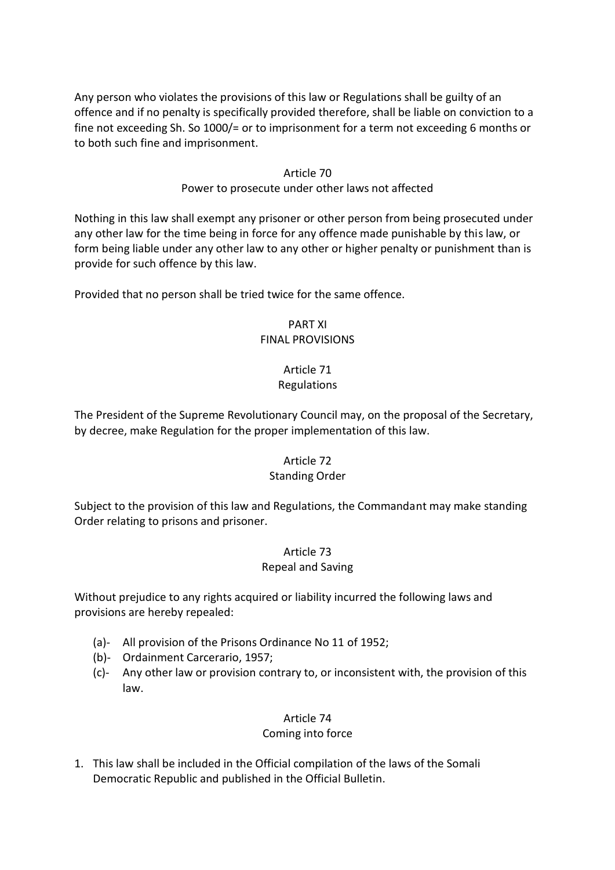Any person who violates the provisions of this law or Regulations shall be guilty of an offence and if no penalty is specifically provided therefore, shall be liable on conviction to a fine not exceeding Sh. So 1000/= or to imprisonment for a term not exceeding 6 months or to both such fine and imprisonment.

#### Article 70

#### Power to prosecute under other laws not affected

Nothing in this law shall exempt any prisoner or other person from being prosecuted under any other law for the time being in force for any offence made punishable by this law, or form being liable under any other law to any other or higher penalty or punishment than is provide for such offence by this law.

Provided that no person shall be tried twice for the same offence.

#### PART XI FINAL PROVISIONS

# Article 71

## Regulations

The President of the Supreme Revolutionary Council may, on the proposal of the Secretary, by decree, make Regulation for the proper implementation of this law.

#### Article 72

#### Standing Order

Subject to the provision of this law and Regulations, the Commandant may make standing Order relating to prisons and prisoner.

## Article 73

#### Repeal and Saving

Without prejudice to any rights acquired or liability incurred the following laws and provisions are hereby repealed:

- (a)- All provision of the Prisons Ordinance No 11 of 1952;
- (b)- Ordainment Carcerario, 1957;
- (c)- Any other law or provision contrary to, or inconsistent with, the provision of this law.

## Article 74

## Coming into force

1. This law shall be included in the Official compilation of the laws of the Somali Democratic Republic and published in the Official Bulletin.